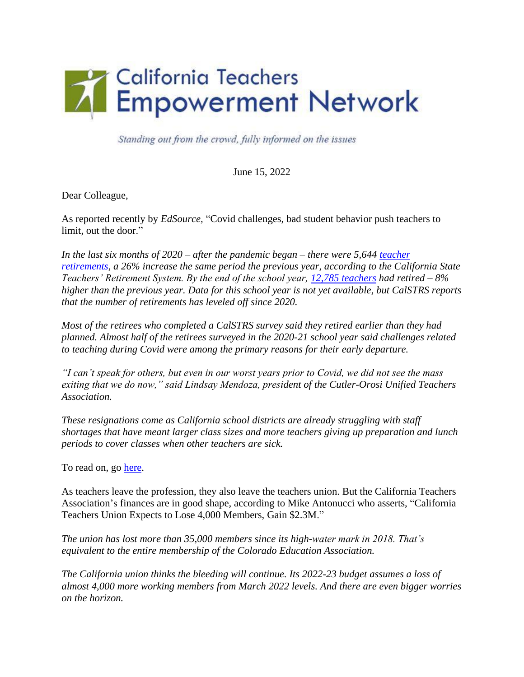

Standing out from the crowd, fully informed on the issues

June 15, 2022

Dear Colleague,

As reported recently by *EdSource,* "Covid challenges, bad student behavior push teachers to limit, out the door."

*In the last six months of 2020 – after the pandemic began – there were 5,644 [teacher](https://www.calstrs.com/files/5ec1088f0/zTRB202101+Item+5.pdf)  [retirements,](https://www.calstrs.com/files/5ec1088f0/zTRB202101+Item+5.pdf) a 26% increase the same period the previous year, according to the California State Teachers' Retirement System. By the end of the school year, [12,785 teachers](https://www.calstrs.com/files/b43a53a11/acfr2021.pdf) had retired – 8% higher than the previous year. Data for this school year is not yet available, but CalSTRS reports that the number of retirements has leveled off since 2020.*

*Most of the retirees who completed a CalSTRS survey said they retired earlier than they had planned. Almost half of the retirees surveyed in the 2020-21 school year said challenges related to teaching during Covid were among the primary reasons for their early departure.*

*"I can't speak for others, but even in our worst years prior to Covid, we did not see the mass exiting that we do now," said Lindsay Mendoza, president of the Cutler-Orosi Unified Teachers Association.*

*These resignations come as California school districts are already struggling with staff shortages that have meant larger class sizes and more teachers giving up preparation and lunch periods to cover classes when other teachers are sick.*

To read on, go [here.](https://edsource.org/2022/covid-challenges-bad-student-behavior-push-teachers-to-the-limit-and-out-the-door/673124)

As teachers leave the profession, they also leave the teachers union. But the California Teachers Association's finances are in good shape, according to Mike Antonucci who asserts, "California Teachers Union Expects to Lose 4,000 Members, Gain \$2.3M."

*The union has lost more than 35,000 members since its high-water mark in 2018. That's equivalent to the entire membership of the Colorado Education Association.*

*The California union thinks the bleeding will continue. Its 2022-23 budget assumes a loss of almost 4,000 more working members from March 2022 levels. And there are even bigger worries on the horizon.*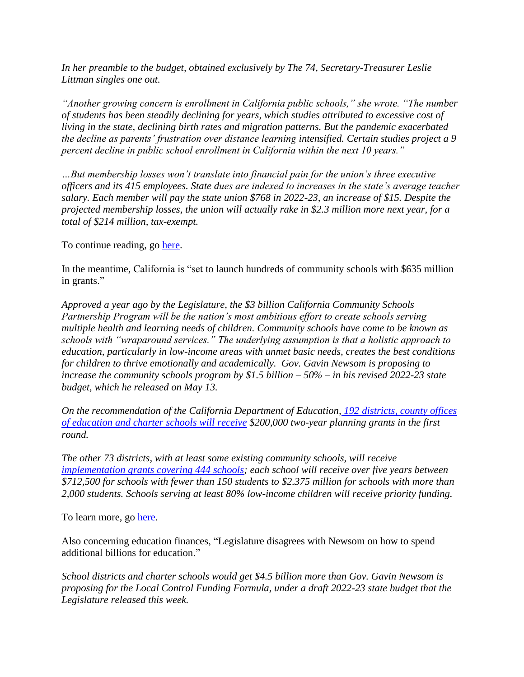*In her preamble to the budget, obtained exclusively by The 74, Secretary-Treasurer Leslie Littman singles one out.*

*"Another growing concern is enrollment in California public schools," she wrote. "The number of students has been steadily declining for years, which studies attributed to excessive cost of living in the state, declining birth rates and migration patterns. But the pandemic exacerbated the decline as parents' frustration over distance learning intensified. Certain studies project a 9 percent decline in public school enrollment in California within the next 10 years."*

*…But membership losses won't translate into financial pain for the union's three executive officers and its 415 employees. State dues are indexed to increases in the state's average teacher salary. Each member will pay the state union \$768 in 2022-23, an increase of \$15. Despite the projected membership losses, the union will actually rake in \$2.3 million more next year, for a total of \$214 million, tax-exempt.*

To continue reading, go [here.](https://www.the74million.org/article/exclusive-california-teachers-union-expects-to-lose-4000-members-gain-2-3m/)

In the meantime, California is "set to launch hundreds of community schools with \$635 million in grants."

*Approved a year ago by the Legislature, the \$3 billion California Community Schools Partnership Program will be the nation's most ambitious effort to create schools serving multiple health and learning needs of children. Community schools have come to be known as schools with "wraparound services." The underlying assumption is that a holistic approach to education, particularly in low-income areas with unmet basic needs, creates the best conditions for children to thrive emotionally and academically. Gov. Gavin Newsom is proposing to increase the community schools program by \$1.5 billion – 50% – in his revised 2022-23 state budget, which he released on May 13.*

*On the recommendation of the California Department of Education, [192 districts, county offices](https://edsource.org/wp-content/uploads/2022/05/communityschools-planninggrants-rev-051222.pdf)  [of education and charter schools will receive](https://edsource.org/wp-content/uploads/2022/05/communityschools-planninggrants-rev-051222.pdf) \$200,000 two-year planning grants in the first round.*

*The other 73 districts, with at least some existing community schools, will receiv[e](https://edsource.org/wp-content/uploads/2022/05/communityschools-implement-grants-rev-051222.pdf) [implementation grants covering 444 schools;](https://edsource.org/wp-content/uploads/2022/05/communityschools-implement-grants-rev-051222.pdf) each school will receive over five years between \$712,500 for schools with fewer than 150 students to \$2.375 million for schools with more than 2,000 students. Schools serving at least 80% low-income children will receive priority funding.*

To learn more, go [here.](https://edsource.org/2022/california-set-to-launch-hundreds-of-community-schools-with-635-million-in-grants/672246)

Also concerning education finances, "Legislature disagrees with Newsom on how to spend additional billions for education."

*School districts and charter schools would get \$4.5 billion more than Gov. Gavin Newsom is proposing for the Local Control Funding Formula, under a draft 2022-23 state budget that the Legislature released this week.*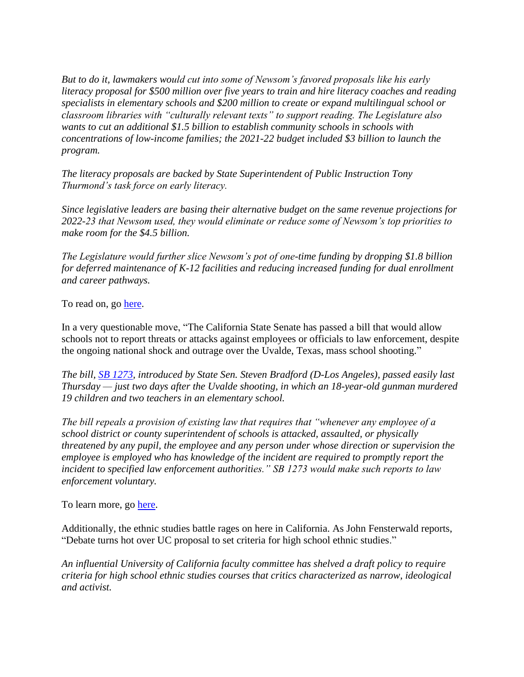*But to do it, lawmakers would cut into some of Newsom's favored proposals like his early literacy proposal for \$500 million over five years to train and hire literacy coaches and reading specialists in elementary schools and \$200 million to create or expand multilingual school or classroom libraries with "culturally relevant texts" to support reading. The Legislature also wants to cut an additional \$1.5 billion to establish community schools in schools with concentrations of low-income families; the 2021-22 budget included \$3 billion to launch the program.* 

*The literacy proposals are backed by State Superintendent of Public Instruction Tony Thurmond's task force on early literacy.*

*Since legislative leaders are basing their alternative budget on the same revenue projections for 2022-23 that Newsom used, they would eliminate or reduce some of Newsom's top priorities to make room for the \$4.5 billion.*

*The Legislature would further slice Newsom's pot of one-time funding by dropping \$1.8 billion for deferred maintenance of K-12 facilities and reducing increased funding for dual enrollment and career pathways.*

To read on, go [here.](https://edsource.org/2022/legislature-disagrees-with-newsom-on-how-to-spend-additional-billions-for-education/673447)

In a very questionable move, "The California State Senate has passed a bill that would allow schools not to report threats or attacks against employees or officials to law enforcement, despite the ongoing national shock and outrage over the Uvalde, Texas, mass school shooting."

*The bill, [SB 1273,](https://leginfo.legislature.ca.gov/faces/billTextClient.xhtml?bill_id=202120220SB1273) introduced by State Sen. Steven Bradford (D-Los Angeles), passed easily last Thursday — just two days after the Uvalde shooting, in which an 18-year-old gunman murdered 19 children and two teachers in an elementary school.*

*The bill repeals a provision of existing law that requires that "whenever any employee of a school district or county superintendent of schools is attacked, assaulted, or physically threatened by any pupil, the employee and any person under whose direction or supervision the employee is employed who has knowledge of the incident are required to promptly report the incident to specified law enforcement authorities." SB 1273 would make such reports to law enforcement voluntary.*

To learn more, go [here.](https://www.breitbart.com/education/2022/06/01/california-state-senate-passes-bill-to-allow-schools-not-to-report-threats/)

Additionally, the ethnic studies battle rages on here in California. As John Fensterwald reports, "Debate turns hot over UC proposal to set criteria for high school ethnic studies."

*An influential University of California faculty committee has shelved a draft policy to require criteria for high school ethnic studies courses that critics characterized as narrow, ideological and activist.*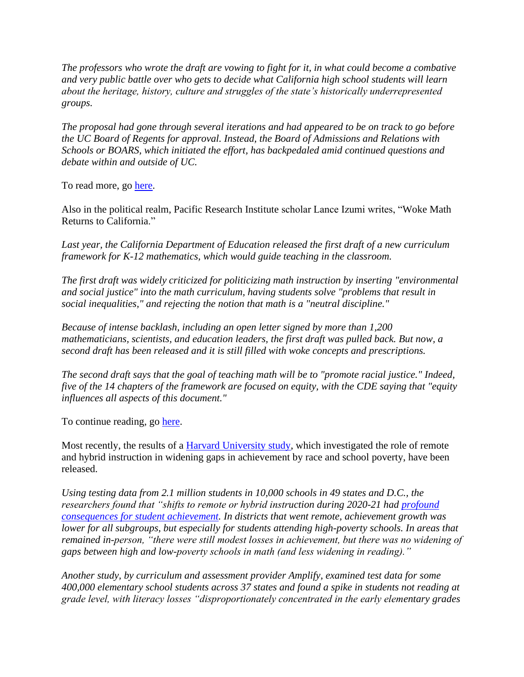*The professors who wrote the draft are vowing to fight for it, in what could become a combative and very public battle over who gets to decide what California high school students will learn about the heritage, history, culture and struggles of the state's historically underrepresented groups.*

*The proposal had gone through several iterations and had appeared to be on track to go before the UC Board of Regents for approval. Instead, the Board of Admissions and Relations with Schools or BOARS, which initiated the effort, has backpedaled amid continued questions and debate within and outside of UC.*

To read more, go [here.](https://edsource.org/2022/debate-turns-hot-over-uc-proposal-to-set-criteria-for-high-school-ethnic-studies/673084)

Also in the political realm, Pacific Research Institute scholar Lance Izumi writes, "Woke Math Returns to California."

*Last year, the California Department of Education released the first draft of a new curriculum framework for K-12 mathematics, which would guide teaching in the classroom.*

*The first draft was widely criticized for politicizing math instruction by inserting "environmental and social justice" into the math curriculum, having students solve "problems that result in social inequalities," and rejecting the notion that math is a "neutral discipline."*

*Because of intense backlash, including an open letter signed by more than 1,200 mathematicians, scientists, and education leaders, the first draft was pulled back. But now, a second draft has been released and it is still filled with woke concepts and prescriptions.*

*The second draft says that the goal of teaching math will be to "promote racial justice." Indeed, five of the 14 chapters of the framework are focused on equity, with the CDE saying that "equity influences all aspects of this document."*

To continue reading, go [here.](https://townhall.com/columnists/lanceizumi/2022/05/07/woke-math-returns-to-california-n2606895)

Most recently, the results of a **Harvard University study**, which investigated the role of remote and hybrid instruction in widening gaps in achievement by race and school poverty, have been released.

*Using testing data from 2.1 million students in 10,000 schools in 49 states and D.C., the researchers found that "shifts to remote or hybrid instruction during 2020-21 had [profound](https://cepr.harvard.edu/files/cepr/files/5-4.pdf?m=1651690491)  [consequences for student achievement.](https://cepr.harvard.edu/files/cepr/files/5-4.pdf?m=1651690491) In districts that went remote, achievement growth was lower for all subgroups, but especially for students attending high-poverty schools. In areas that remained in-person, "there were still modest losses in achievement, but there was no widening of gaps between high and low-poverty schools in math (and less widening in reading)."*

*Another study, by curriculum and assessment provider Amplify, examined test data for some 400,000 elementary school students across 37 states and found a spike in students not reading at grade level, with literacy losses "disproportionately concentrated in the early elementary grades*